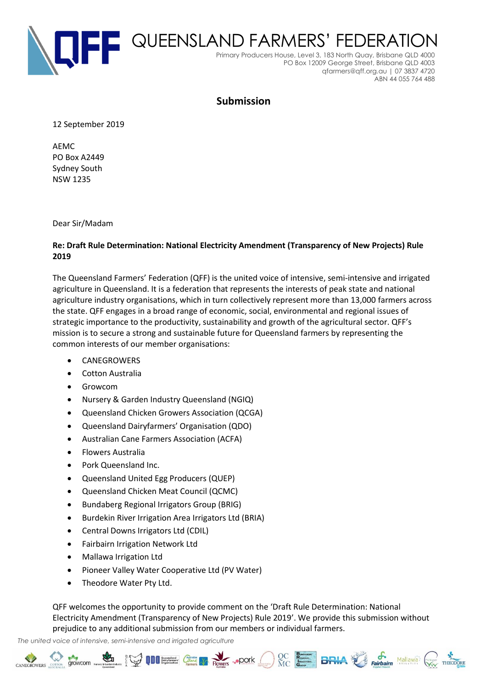

## **Submission**

12 September 2019

AEMC PO Box A2449 Sydney South NSW 1235

Dear Sir/Madam

## **Re: Draft Rule Determination: National Electricity Amendment (Transparency of New Projects) Rule 2019**

The Queensland Farmers' Federation (QFF) is the united voice of intensive, semi-intensive and irrigated agriculture in Queensland. It is a federation that represents the interests of peak state and national agriculture industry organisations, which in turn collectively represent more than 13,000 farmers across the state. QFF engages in a broad range of economic, social, environmental and regional issues of strategic importance to the productivity, sustainability and growth of the agricultural sector. QFF's mission is to secure a strong and sustainable future for Queensland farmers by representing the common interests of our member organisations:

- **CANEGROWERS**
- Cotton Australia
- Growcom
- Nursery & Garden Industry Queensland (NGIQ)
- Queensland Chicken Growers Association (QCGA)
- Queensland Dairyfarmers' Organisation (QDO)
- Australian Cane Farmers Association (ACFA)
- Flowers Australia
- Pork Queensland Inc.
- Queensland United Egg Producers (QUEP)
- Queensland Chicken Meat Council (QCMC)
- Bundaberg Regional Irrigators Group (BRIG)
- Burdekin River Irrigation Area Irrigators Ltd (BRIA)
- Central Downs Irrigators Ltd (CDIL)
- Fairbairn Irrigation Network Ltd
- Mallawa Irrigation Ltd
- Pioneer Valley Water Cooperative Ltd (PV Water)
- Theodore Water Pty Ltd.

QFF welcomes the opportunity to provide comment on the 'Draft Rule Determination: National Electricity Amendment (Transparency of New Projects) Rule 2019'. We provide this submission without prejudice to any additional submission from our members or individual farmers.

*The united voice of intensive, semi-intensive and irrigated agriculture*

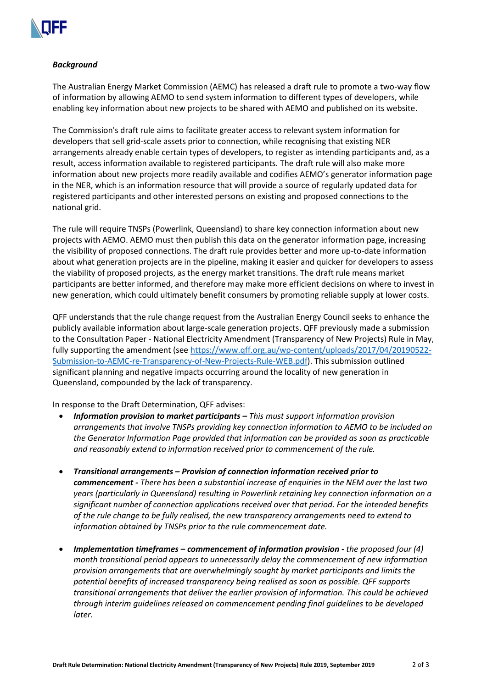

## *Background*

The Australian Energy Market Commission (AEMC) has released a draft rule to promote a two-way flow of information by allowing AEMO to send system information to different types of developers, while enabling key information about new projects to be shared with AEMO and published on its website.

The Commission's draft rule aims to facilitate greater access to relevant system information for developers that sell grid-scale assets prior to connection, while recognising that existing NER arrangements already enable certain types of developers, to register as intending participants and, as a result, access information available to registered participants. The draft rule will also make more information about new projects more readily available and codifies AEMO's generator information page in the NER, which is an information resource that will provide a source of regularly updated data for registered participants and other interested persons on existing and proposed connections to the national grid.

The rule will require TNSPs (Powerlink, Queensland) to share key connection information about new projects with AEMO. AEMO must then publish this data on the generator information page, increasing the visibility of proposed connections. The draft rule provides better and more up-to-date information about what generation projects are in the pipeline, making it easier and quicker for developers to assess the viability of proposed projects, as the energy market transitions. The draft rule means market participants are better informed, and therefore may make more efficient decisions on where to invest in new generation, which could ultimately benefit consumers by promoting reliable supply at lower costs.

QFF understands that the rule change request from the Australian Energy Council seeks to enhance the publicly available information about large-scale generation projects. QFF previously made a submission to the Consultation Paper - National Electricity Amendment (Transparency of New Projects) Rule in May, fully supporting the amendment (se[e https://www.qff.org.au/wp-content/uploads/2017/04/20190522-](https://www.qff.org.au/wp-content/uploads/2017/04/20190522-Submission-to-AEMC-re-Transparency-of-New-Projects-Rule-WEB.pdf) [Submission-to-AEMC-re-Transparency-of-New-Projects-Rule-WEB.pdf\)](https://www.qff.org.au/wp-content/uploads/2017/04/20190522-Submission-to-AEMC-re-Transparency-of-New-Projects-Rule-WEB.pdf). This submission outlined significant planning and negative impacts occurring around the locality of new generation in Queensland, compounded by the lack of transparency.

In response to the Draft Determination, QFF advises:

- *Information provision to market participants – This must support information provision arrangements that involve TNSPs providing key connection information to AEMO to be included on the Generator Information Page provided that information can be provided as soon as practicable and reasonably extend to information received prior to commencement of the rule.*
- *Transitional arrangements – Provision of connection information received prior to commencement - There has been a substantial increase of enquiries in the NEM over the last two years (particularly in Queensland) resulting in Powerlink retaining key connection information on a significant number of connection applications received over that period. For the intended benefits of the rule change to be fully realised, the new transparency arrangements need to extend to information obtained by TNSPs prior to the rule commencement date.*
- *Implementation timeframes – commencement of information provision - the proposed four (4) month transitional period appears to unnecessarily delay the commencement of new information provision arrangements that are overwhelmingly sought by market participants and limits the potential benefits of increased transparency being realised as soon as possible. QFF supports transitional arrangements that deliver the earlier provision of information. This could be achieved through interim guidelines released on commencement pending final guidelines to be developed later.*